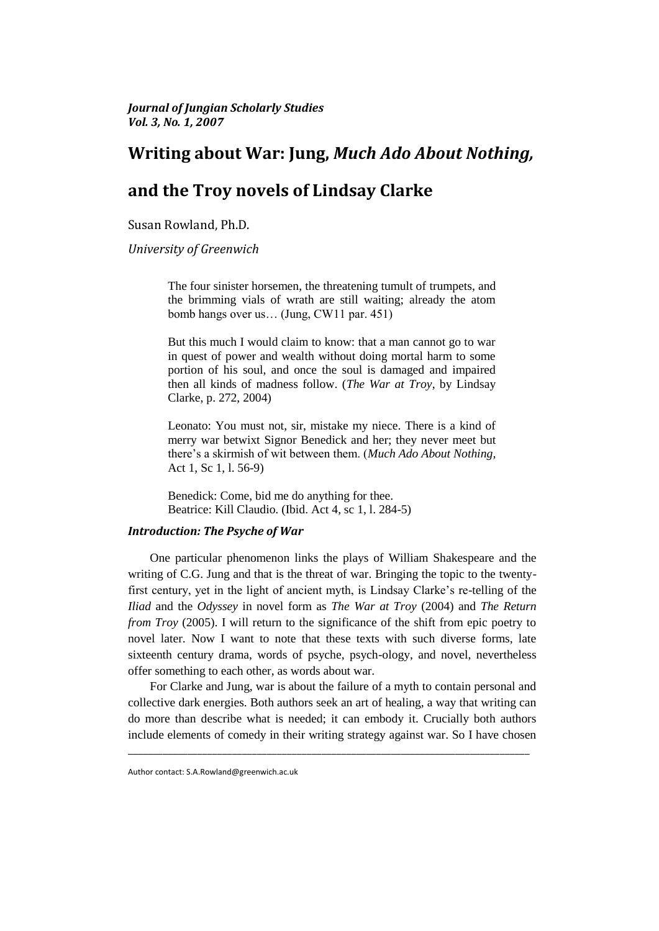*Journal of Jungian Scholarly Studies Vol. 3, No. 1, 2007*

# **Writing about War: Jung,** *Much Ado About Nothing,*

# **and the Troy novels of Lindsay Clarke**

Susan Rowland, Ph.D.

*University of Greenwich* 

The four sinister horsemen, the threatening tumult of trumpets, and the brimming vials of wrath are still waiting; already the atom bomb hangs over us… (Jung, CW11 par. 451)

But this much I would claim to know: that a man cannot go to war in quest of power and wealth without doing mortal harm to some portion of his soul, and once the soul is damaged and impaired then all kinds of madness follow. (*The War at Troy*, by Lindsay Clarke, p. 272, 2004)

Leonato: You must not, sir, mistake my niece. There is a kind of merry war betwixt Signor Benedick and her; they never meet but there"s a skirmish of wit between them. (*Much Ado About Nothing*, Act 1, Sc 1, l. 56-9)

Benedick: Come, bid me do anything for thee. Beatrice: Kill Claudio. (Ibid. Act 4, sc 1, l. 284-5)

# *Introduction: The Psyche of War*

One particular phenomenon links the plays of William Shakespeare and the writing of C.G. Jung and that is the threat of war. Bringing the topic to the twentyfirst century, yet in the light of ancient myth, is Lindsay Clarke"s re-telling of the *Iliad* and the *Odyssey* in novel form as *The War at Troy* (2004) and *The Return from Troy* (2005). I will return to the significance of the shift from epic poetry to novel later. Now I want to note that these texts with such diverse forms, late sixteenth century drama, words of psyche, psych-ology, and novel, nevertheless offer something to each other, as words about war.

For Clarke and Jung, war is about the failure of a myth to contain personal and collective dark energies. Both authors seek an art of healing, a way that writing can do more than describe what is needed; it can embody it. Crucially both authors include elements of comedy in their writing strategy against war. So I have chosen

\_\_\_\_\_\_\_\_\_\_\_\_\_\_\_\_\_\_\_\_\_\_\_\_\_\_\_\_\_\_\_\_\_\_\_\_\_\_\_\_\_\_\_\_\_\_\_\_\_\_\_\_\_\_\_\_\_\_\_\_\_\_\_\_\_\_\_\_\_\_\_\_\_\_\_\_\_\_\_\_\_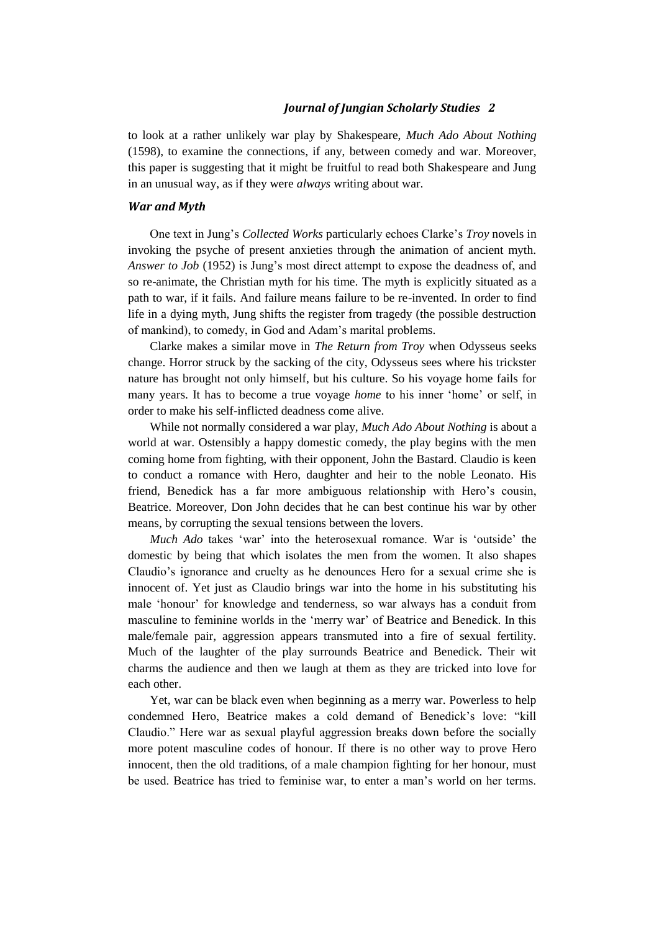to look at a rather unlikely war play by Shakespeare, *Much Ado About Nothing*  (1598), to examine the connections, if any, between comedy and war. Moreover, this paper is suggesting that it might be fruitful to read both Shakespeare and Jung in an unusual way, as if they were *always* writing about war.

### *War and Myth*

One text in Jung"s *Collected Works* particularly echoes Clarke"s *Troy* novels in invoking the psyche of present anxieties through the animation of ancient myth. *Answer to Job* (1952) is Jung"s most direct attempt to expose the deadness of, and so re-animate, the Christian myth for his time. The myth is explicitly situated as a path to war, if it fails. And failure means failure to be re-invented. In order to find life in a dying myth, Jung shifts the register from tragedy (the possible destruction of mankind), to comedy, in God and Adam"s marital problems.

Clarke makes a similar move in *The Return from Troy* when Odysseus seeks change. Horror struck by the sacking of the city, Odysseus sees where his trickster nature has brought not only himself, but his culture. So his voyage home fails for many years. It has to become a true voyage *home* to his inner "home" or self, in order to make his self-inflicted deadness come alive.

While not normally considered a war play, *Much Ado About Nothing* is about a world at war. Ostensibly a happy domestic comedy, the play begins with the men coming home from fighting, with their opponent, John the Bastard. Claudio is keen to conduct a romance with Hero, daughter and heir to the noble Leonato. His friend, Benedick has a far more ambiguous relationship with Hero"s cousin, Beatrice. Moreover, Don John decides that he can best continue his war by other means, by corrupting the sexual tensions between the lovers.

*Much Ado* takes 'war' into the heterosexual romance. War is 'outside' the domestic by being that which isolates the men from the women. It also shapes Claudio"s ignorance and cruelty as he denounces Hero for a sexual crime she is innocent of. Yet just as Claudio brings war into the home in his substituting his male "honour" for knowledge and tenderness, so war always has a conduit from masculine to feminine worlds in the "merry war" of Beatrice and Benedick. In this male/female pair, aggression appears transmuted into a fire of sexual fertility. Much of the laughter of the play surrounds Beatrice and Benedick. Their wit charms the audience and then we laugh at them as they are tricked into love for each other.

Yet, war can be black even when beginning as a merry war. Powerless to help condemned Hero, Beatrice makes a cold demand of Benedick"s love: "kill Claudio." Here war as sexual playful aggression breaks down before the socially more potent masculine codes of honour. If there is no other way to prove Hero innocent, then the old traditions, of a male champion fighting for her honour, must be used. Beatrice has tried to feminise war, to enter a man"s world on her terms.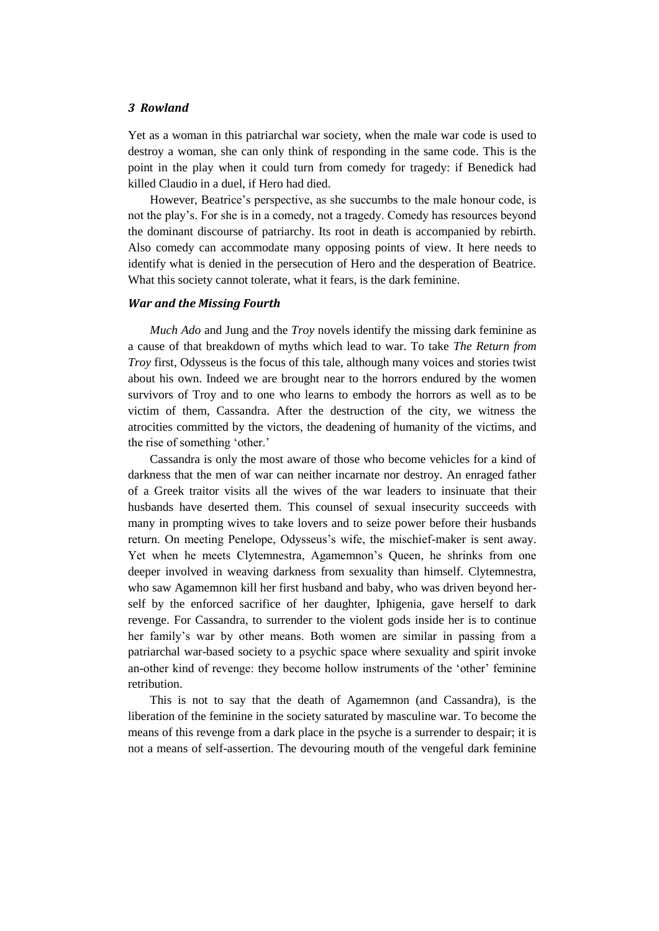Yet as a woman in this patriarchal war society, when the male war code is used to destroy a woman, she can only think of responding in the same code. This is the point in the play when it could turn from comedy for tragedy: if Benedick had killed Claudio in a duel, if Hero had died.

However, Beatrice's perspective, as she succumbs to the male honour code, is not the play"s. For she is in a comedy, not a tragedy. Comedy has resources beyond the dominant discourse of patriarchy. Its root in death is accompanied by rebirth. Also comedy can accommodate many opposing points of view. It here needs to identify what is denied in the persecution of Hero and the desperation of Beatrice. What this society cannot tolerate, what it fears, is the dark feminine.

#### *War and the Missing Fourth*

*Much Ado* and Jung and the *Troy* novels identify the missing dark feminine as a cause of that breakdown of myths which lead to war. To take *The Return from Troy* first, Odysseus is the focus of this tale, although many voices and stories twist about his own. Indeed we are brought near to the horrors endured by the women survivors of Troy and to one who learns to embody the horrors as well as to be victim of them, Cassandra. After the destruction of the city, we witness the atrocities committed by the victors, the deadening of humanity of the victims, and the rise of something "other."

Cassandra is only the most aware of those who become vehicles for a kind of darkness that the men of war can neither incarnate nor destroy. An enraged father of a Greek traitor visits all the wives of the war leaders to insinuate that their husbands have deserted them. This counsel of sexual insecurity succeeds with many in prompting wives to take lovers and to seize power before their husbands return. On meeting Penelope, Odysseus"s wife, the mischief-maker is sent away. Yet when he meets Clytemnestra, Agamemnon"s Queen, he shrinks from one deeper involved in weaving darkness from sexuality than himself. Clytemnestra, who saw Agamemnon kill her first husband and baby, who was driven beyond herself by the enforced sacrifice of her daughter, Iphigenia, gave herself to dark revenge. For Cassandra, to surrender to the violent gods inside her is to continue her family"s war by other means. Both women are similar in passing from a patriarchal war-based society to a psychic space where sexuality and spirit invoke an-other kind of revenge: they become hollow instruments of the 'other' feminine retribution.

This is not to say that the death of Agamemnon (and Cassandra), is the liberation of the feminine in the society saturated by masculine war. To become the means of this revenge from a dark place in the psyche is a surrender to despair; it is not a means of self-assertion. The devouring mouth of the vengeful dark feminine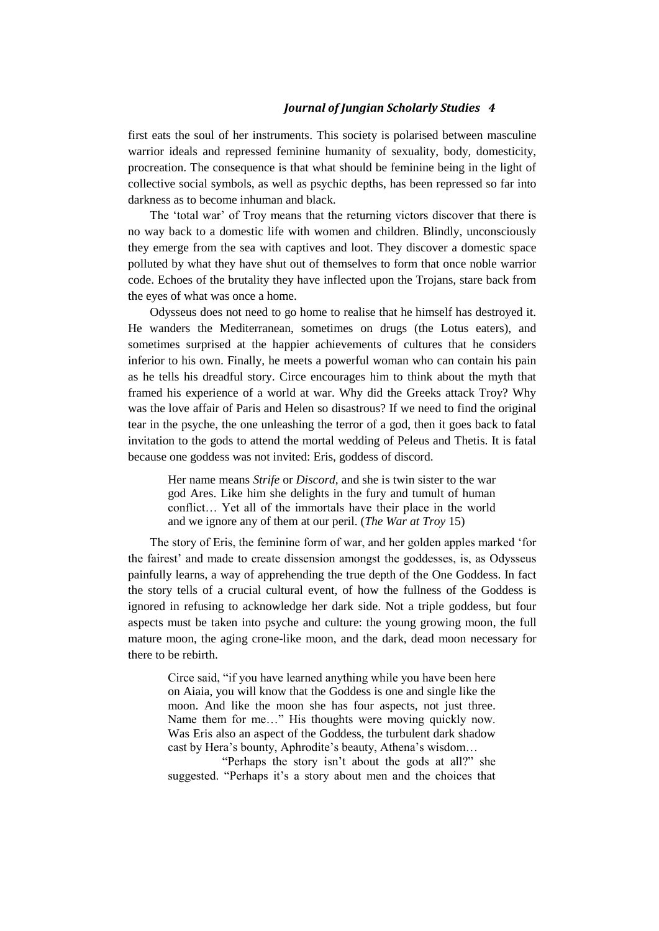first eats the soul of her instruments. This society is polarised between masculine warrior ideals and repressed feminine humanity of sexuality, body, domesticity, procreation. The consequence is that what should be feminine being in the light of collective social symbols, as well as psychic depths, has been repressed so far into darkness as to become inhuman and black.

The "total war" of Troy means that the returning victors discover that there is no way back to a domestic life with women and children. Blindly, unconsciously they emerge from the sea with captives and loot. They discover a domestic space polluted by what they have shut out of themselves to form that once noble warrior code. Echoes of the brutality they have inflected upon the Trojans, stare back from the eyes of what was once a home.

Odysseus does not need to go home to realise that he himself has destroyed it. He wanders the Mediterranean, sometimes on drugs (the Lotus eaters), and sometimes surprised at the happier achievements of cultures that he considers inferior to his own. Finally, he meets a powerful woman who can contain his pain as he tells his dreadful story. Circe encourages him to think about the myth that framed his experience of a world at war. Why did the Greeks attack Troy? Why was the love affair of Paris and Helen so disastrous? If we need to find the original tear in the psyche, the one unleashing the terror of a god, then it goes back to fatal invitation to the gods to attend the mortal wedding of Peleus and Thetis. It is fatal because one goddess was not invited: Eris, goddess of discord.

Her name means *Strife* or *Discord,* and she is twin sister to the war god Ares. Like him she delights in the fury and tumult of human conflict… Yet all of the immortals have their place in the world and we ignore any of them at our peril. (*The War at Troy* 15)

The story of Eris, the feminine form of war, and her golden apples marked "for the fairest" and made to create dissension amongst the goddesses, is, as Odysseus painfully learns, a way of apprehending the true depth of the One Goddess. In fact the story tells of a crucial cultural event, of how the fullness of the Goddess is ignored in refusing to acknowledge her dark side. Not a triple goddess, but four aspects must be taken into psyche and culture: the young growing moon, the full mature moon, the aging crone-like moon, and the dark, dead moon necessary for there to be rebirth.

Circe said, "if you have learned anything while you have been here on Aiaia, you will know that the Goddess is one and single like the moon. And like the moon she has four aspects, not just three. Name them for me…" His thoughts were moving quickly now. Was Eris also an aspect of the Goddess, the turbulent dark shadow cast by Hera's bounty, Aphrodite's beauty, Athena's wisdom...

"Perhaps the story isn"t about the gods at all?" she suggested. "Perhaps it's a story about men and the choices that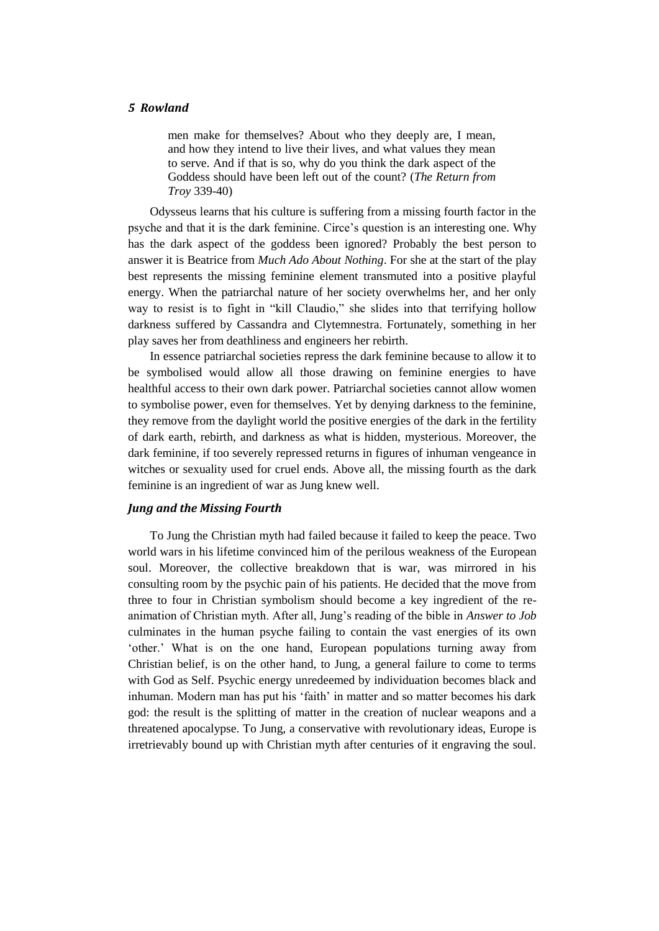men make for themselves? About who they deeply are, I mean, and how they intend to live their lives, and what values they mean to serve. And if that is so, why do you think the dark aspect of the Goddess should have been left out of the count? (*The Return from Troy* 339-40)

Odysseus learns that his culture is suffering from a missing fourth factor in the psyche and that it is the dark feminine. Circe"s question is an interesting one. Why has the dark aspect of the goddess been ignored? Probably the best person to answer it is Beatrice from *Much Ado About Nothing*. For she at the start of the play best represents the missing feminine element transmuted into a positive playful energy. When the patriarchal nature of her society overwhelms her, and her only way to resist is to fight in "kill Claudio," she slides into that terrifying hollow darkness suffered by Cassandra and Clytemnestra. Fortunately, something in her play saves her from deathliness and engineers her rebirth.

In essence patriarchal societies repress the dark feminine because to allow it to be symbolised would allow all those drawing on feminine energies to have healthful access to their own dark power. Patriarchal societies cannot allow women to symbolise power, even for themselves. Yet by denying darkness to the feminine, they remove from the daylight world the positive energies of the dark in the fertility of dark earth, rebirth, and darkness as what is hidden, mysterious. Moreover, the dark feminine, if too severely repressed returns in figures of inhuman vengeance in witches or sexuality used for cruel ends. Above all, the missing fourth as the dark feminine is an ingredient of war as Jung knew well.

## *Jung and the Missing Fourth*

To Jung the Christian myth had failed because it failed to keep the peace. Two world wars in his lifetime convinced him of the perilous weakness of the European soul. Moreover, the collective breakdown that is war, was mirrored in his consulting room by the psychic pain of his patients. He decided that the move from three to four in Christian symbolism should become a key ingredient of the reanimation of Christian myth. After all, Jung"s reading of the bible in *Answer to Job*  culminates in the human psyche failing to contain the vast energies of its own "other." What is on the one hand, European populations turning away from Christian belief, is on the other hand, to Jung, a general failure to come to terms with God as Self. Psychic energy unredeemed by individuation becomes black and inhuman. Modern man has put his "faith" in matter and so matter becomes his dark god: the result is the splitting of matter in the creation of nuclear weapons and a threatened apocalypse. To Jung, a conservative with revolutionary ideas, Europe is irretrievably bound up with Christian myth after centuries of it engraving the soul.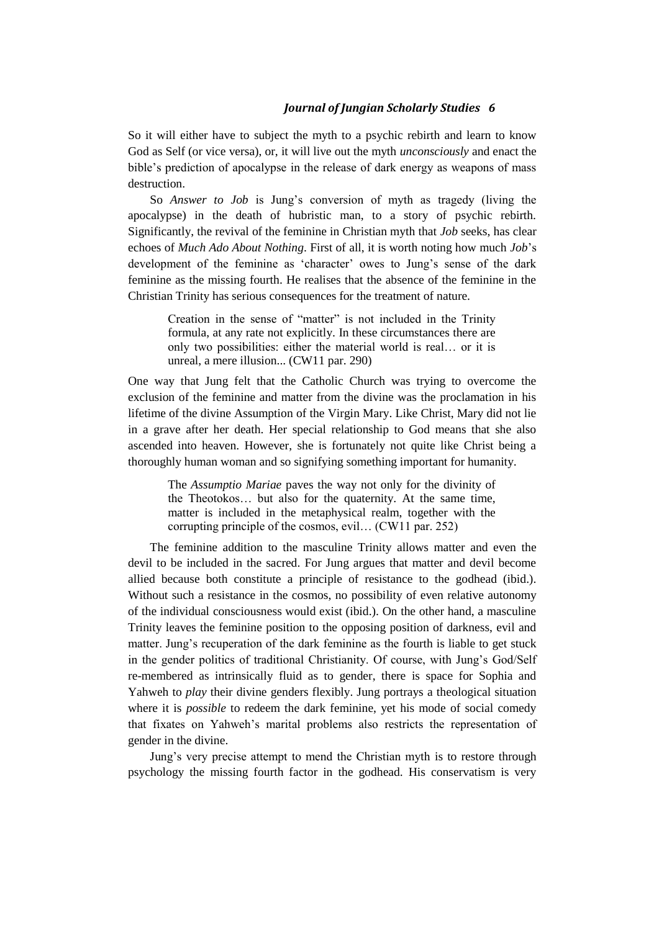So it will either have to subject the myth to a psychic rebirth and learn to know God as Self (or vice versa), or, it will live out the myth *unconsciously* and enact the bible"s prediction of apocalypse in the release of dark energy as weapons of mass destruction.

So *Answer to Job* is Jung's conversion of myth as tragedy (living the apocalypse) in the death of hubristic man, to a story of psychic rebirth. Significantly, the revival of the feminine in Christian myth that *Job* seeks, has clear echoes of *Much Ado About Nothing*. First of all, it is worth noting how much *Job*"s development of the feminine as "character" owes to Jung"s sense of the dark feminine as the missing fourth. He realises that the absence of the feminine in the Christian Trinity has serious consequences for the treatment of nature.

Creation in the sense of "matter" is not included in the Trinity formula, at any rate not explicitly. In these circumstances there are only two possibilities: either the material world is real… or it is unreal, a mere illusion... (CW11 par. 290)

One way that Jung felt that the Catholic Church was trying to overcome the exclusion of the feminine and matter from the divine was the proclamation in his lifetime of the divine Assumption of the Virgin Mary. Like Christ, Mary did not lie in a grave after her death. Her special relationship to God means that she also ascended into heaven. However, she is fortunately not quite like Christ being a thoroughly human woman and so signifying something important for humanity.

The *Assumptio Mariae* paves the way not only for the divinity of the Theotokos… but also for the quaternity. At the same time, matter is included in the metaphysical realm, together with the corrupting principle of the cosmos, evil… (CW11 par. 252)

The feminine addition to the masculine Trinity allows matter and even the devil to be included in the sacred. For Jung argues that matter and devil become allied because both constitute a principle of resistance to the godhead (ibid.). Without such a resistance in the cosmos, no possibility of even relative autonomy of the individual consciousness would exist (ibid.). On the other hand, a masculine Trinity leaves the feminine position to the opposing position of darkness, evil and matter. Jung's recuperation of the dark feminine as the fourth is liable to get stuck in the gender politics of traditional Christianity. Of course, with Jung"s God/Self re-membered as intrinsically fluid as to gender, there is space for Sophia and Yahweh to *play* their divine genders flexibly. Jung portrays a theological situation where it is *possible* to redeem the dark feminine, yet his mode of social comedy that fixates on Yahweh"s marital problems also restricts the representation of gender in the divine.

Jung"s very precise attempt to mend the Christian myth is to restore through psychology the missing fourth factor in the godhead. His conservatism is very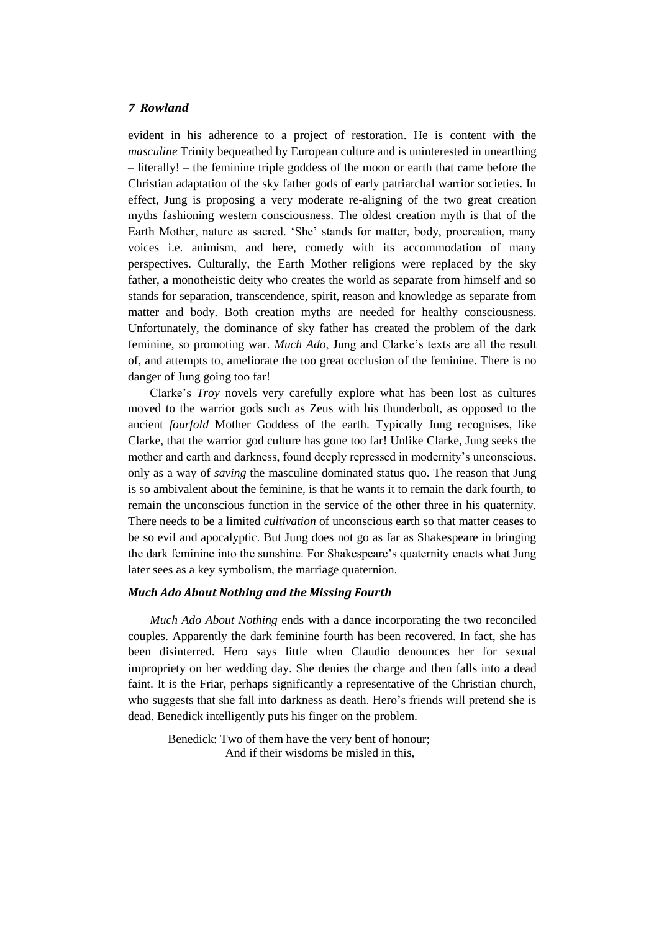evident in his adherence to a project of restoration. He is content with the *masculine* Trinity bequeathed by European culture and is uninterested in unearthing – literally! – the feminine triple goddess of the moon or earth that came before the Christian adaptation of the sky father gods of early patriarchal warrior societies. In effect, Jung is proposing a very moderate re-aligning of the two great creation myths fashioning western consciousness. The oldest creation myth is that of the Earth Mother, nature as sacred. "She" stands for matter, body, procreation, many voices i.e. animism, and here, comedy with its accommodation of many perspectives. Culturally, the Earth Mother religions were replaced by the sky father, a monotheistic deity who creates the world as separate from himself and so stands for separation, transcendence, spirit, reason and knowledge as separate from matter and body. Both creation myths are needed for healthy consciousness. Unfortunately, the dominance of sky father has created the problem of the dark feminine, so promoting war. *Much Ado*, Jung and Clarke's texts are all the result of, and attempts to, ameliorate the too great occlusion of the feminine. There is no danger of Jung going too far!

Clarke"s *Troy* novels very carefully explore what has been lost as cultures moved to the warrior gods such as Zeus with his thunderbolt, as opposed to the ancient *fourfold* Mother Goddess of the earth. Typically Jung recognises, like Clarke, that the warrior god culture has gone too far! Unlike Clarke, Jung seeks the mother and earth and darkness, found deeply repressed in modernity's unconscious, only as a way of *saving* the masculine dominated status quo. The reason that Jung is so ambivalent about the feminine, is that he wants it to remain the dark fourth, to remain the unconscious function in the service of the other three in his quaternity. There needs to be a limited *cultivation* of unconscious earth so that matter ceases to be so evil and apocalyptic. But Jung does not go as far as Shakespeare in bringing the dark feminine into the sunshine. For Shakespeare's quaternity enacts what Jung later sees as a key symbolism, the marriage quaternion.

#### *Much Ado About Nothing and the Missing Fourth*

*Much Ado About Nothing* ends with a dance incorporating the two reconciled couples. Apparently the dark feminine fourth has been recovered. In fact, she has been disinterred. Hero says little when Claudio denounces her for sexual impropriety on her wedding day. She denies the charge and then falls into a dead faint. It is the Friar, perhaps significantly a representative of the Christian church, who suggests that she fall into darkness as death. Hero's friends will pretend she is dead. Benedick intelligently puts his finger on the problem.

Benedick: Two of them have the very bent of honour; And if their wisdoms be misled in this,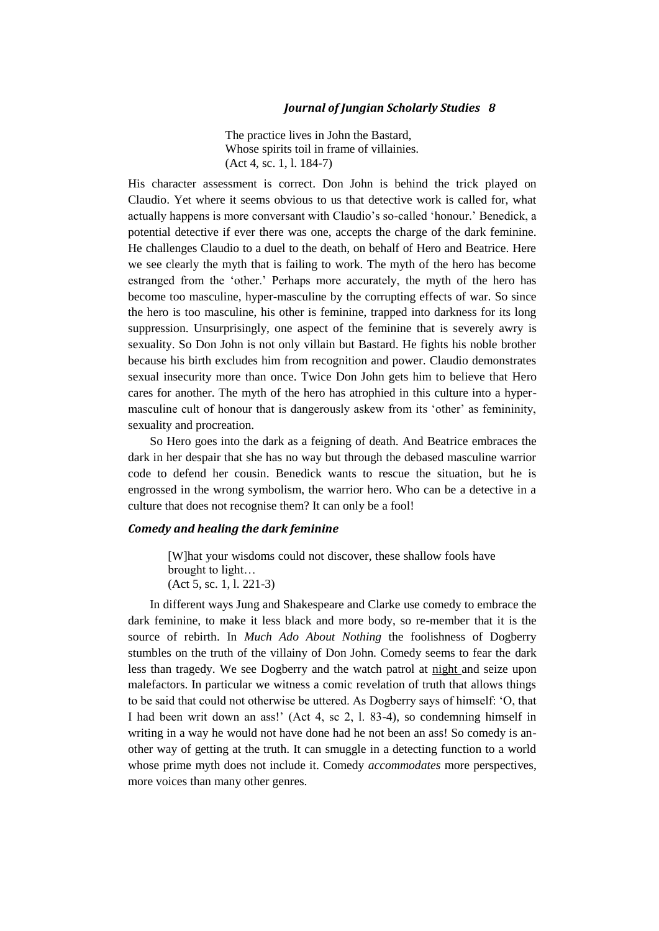The practice lives in John the Bastard, Whose spirits toil in frame of villainies. (Act 4, sc. 1, l. 184-7)

His character assessment is correct. Don John is behind the trick played on Claudio. Yet where it seems obvious to us that detective work is called for, what actually happens is more conversant with Claudio"s so-called "honour." Benedick, a potential detective if ever there was one, accepts the charge of the dark feminine. He challenges Claudio to a duel to the death, on behalf of Hero and Beatrice. Here we see clearly the myth that is failing to work. The myth of the hero has become estranged from the "other." Perhaps more accurately, the myth of the hero has become too masculine, hyper-masculine by the corrupting effects of war. So since the hero is too masculine, his other is feminine, trapped into darkness for its long suppression. Unsurprisingly, one aspect of the feminine that is severely awry is sexuality. So Don John is not only villain but Bastard. He fights his noble brother because his birth excludes him from recognition and power. Claudio demonstrates sexual insecurity more than once. Twice Don John gets him to believe that Hero cares for another. The myth of the hero has atrophied in this culture into a hypermasculine cult of honour that is dangerously askew from its "other" as femininity, sexuality and procreation.

So Hero goes into the dark as a feigning of death. And Beatrice embraces the dark in her despair that she has no way but through the debased masculine warrior code to defend her cousin. Benedick wants to rescue the situation, but he is engrossed in the wrong symbolism, the warrior hero. Who can be a detective in a culture that does not recognise them? It can only be a fool!

# *Comedy and healing the dark feminine*

[W]hat your wisdoms could not discover, these shallow fools have brought to light… (Act 5, sc. 1, l. 221-3)

In different ways Jung and Shakespeare and Clarke use comedy to embrace the dark feminine, to make it less black and more body, so re-member that it is the source of rebirth. In *Much Ado About Nothing* the foolishness of Dogberry stumbles on the truth of the villainy of Don John. Comedy seems to fear the dark less than tragedy. We see Dogberry and the watch patrol at night and seize upon malefactors. In particular we witness a comic revelation of truth that allows things to be said that could not otherwise be uttered. As Dogberry says of himself: "O, that I had been writ down an ass!" (Act 4, sc 2, l. 83-4), so condemning himself in writing in a way he would not have done had he not been an ass! So comedy is another way of getting at the truth. It can smuggle in a detecting function to a world whose prime myth does not include it. Comedy *accommodates* more perspectives, more voices than many other genres.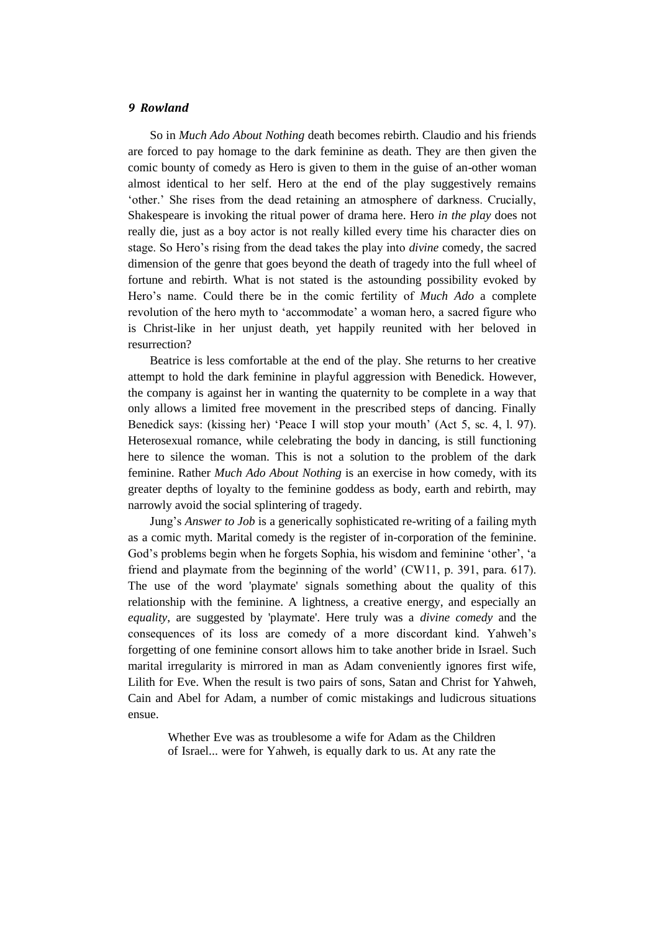So in *Much Ado About Nothing* death becomes rebirth. Claudio and his friends are forced to pay homage to the dark feminine as death. They are then given the comic bounty of comedy as Hero is given to them in the guise of an-other woman almost identical to her self. Hero at the end of the play suggestively remains "other." She rises from the dead retaining an atmosphere of darkness. Crucially, Shakespeare is invoking the ritual power of drama here. Hero *in the play* does not really die, just as a boy actor is not really killed every time his character dies on stage. So Hero"s rising from the dead takes the play into *divine* comedy, the sacred dimension of the genre that goes beyond the death of tragedy into the full wheel of fortune and rebirth. What is not stated is the astounding possibility evoked by Hero"s name. Could there be in the comic fertility of *Much Ado* a complete revolution of the hero myth to "accommodate" a woman hero, a sacred figure who is Christ-like in her unjust death, yet happily reunited with her beloved in resurrection?

Beatrice is less comfortable at the end of the play. She returns to her creative attempt to hold the dark feminine in playful aggression with Benedick. However, the company is against her in wanting the quaternity to be complete in a way that only allows a limited free movement in the prescribed steps of dancing. Finally Benedick says: (kissing her) 'Peace I will stop your mouth' (Act 5, sc. 4, 1, 97). Heterosexual romance, while celebrating the body in dancing, is still functioning here to silence the woman. This is not a solution to the problem of the dark feminine. Rather *Much Ado About Nothing* is an exercise in how comedy, with its greater depths of loyalty to the feminine goddess as body, earth and rebirth, may narrowly avoid the social splintering of tragedy.

Jung"s *Answer to Job* is a generically sophisticated re-writing of a failing myth as a comic myth. Marital comedy is the register of in-corporation of the feminine. God's problems begin when he forgets Sophia, his wisdom and feminine 'other', 'a friend and playmate from the beginning of the world" (CW11, p. 391, para. 617). The use of the word 'playmate' signals something about the quality of this relationship with the feminine. A lightness, a creative energy, and especially an *equality*, are suggested by 'playmate'. Here truly was a *divine comedy* and the consequences of its loss are comedy of a more discordant kind. Yahweh"s forgetting of one feminine consort allows him to take another bride in Israel. Such marital irregularity is mirrored in man as Adam conveniently ignores first wife, Lilith for Eve. When the result is two pairs of sons, Satan and Christ for Yahweh, Cain and Abel for Adam, a number of comic mistakings and ludicrous situations ensue.

Whether Eve was as troublesome a wife for Adam as the Children of Israel... were for Yahweh, is equally dark to us. At any rate the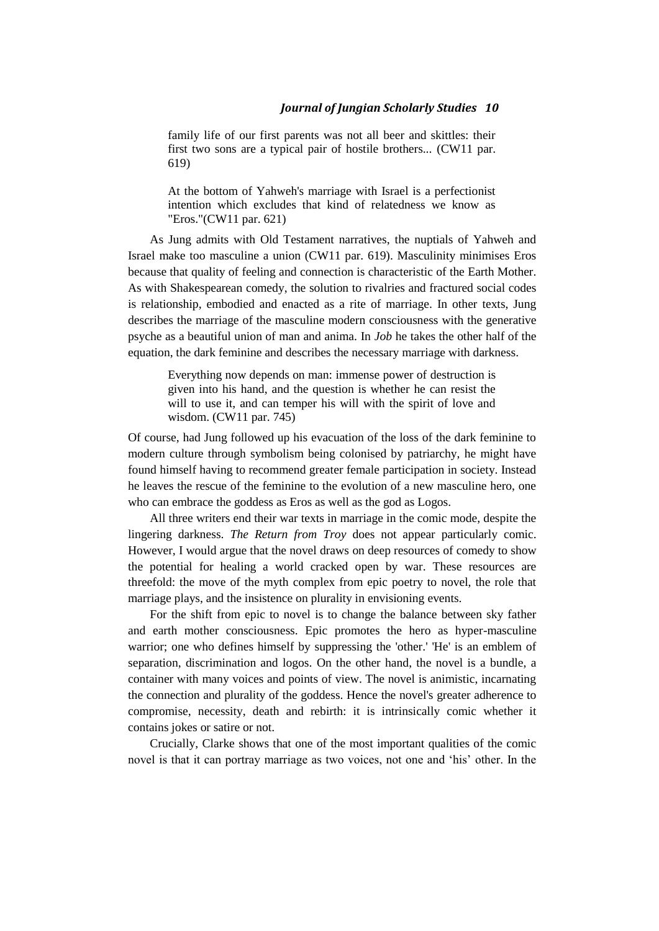family life of our first parents was not all beer and skittles: their first two sons are a typical pair of hostile brothers... (CW11 par. 619)

At the bottom of Yahweh's marriage with Israel is a perfectionist intention which excludes that kind of relatedness we know as "Eros."(CW11 par. 621)

As Jung admits with Old Testament narratives, the nuptials of Yahweh and Israel make too masculine a union (CW11 par. 619). Masculinity minimises Eros because that quality of feeling and connection is characteristic of the Earth Mother. As with Shakespearean comedy, the solution to rivalries and fractured social codes is relationship, embodied and enacted as a rite of marriage. In other texts, Jung describes the marriage of the masculine modern consciousness with the generative psyche as a beautiful union of man and anima. In *Job* he takes the other half of the equation, the dark feminine and describes the necessary marriage with darkness.

Everything now depends on man: immense power of destruction is given into his hand, and the question is whether he can resist the will to use it, and can temper his will with the spirit of love and wisdom. (CW11 par. 745)

Of course, had Jung followed up his evacuation of the loss of the dark feminine to modern culture through symbolism being colonised by patriarchy, he might have found himself having to recommend greater female participation in society. Instead he leaves the rescue of the feminine to the evolution of a new masculine hero, one who can embrace the goddess as Eros as well as the god as Logos.

All three writers end their war texts in marriage in the comic mode, despite the lingering darkness. *The Return from Troy* does not appear particularly comic. However, I would argue that the novel draws on deep resources of comedy to show the potential for healing a world cracked open by war. These resources are threefold: the move of the myth complex from epic poetry to novel, the role that marriage plays, and the insistence on plurality in envisioning events.

For the shift from epic to novel is to change the balance between sky father and earth mother consciousness. Epic promotes the hero as hyper-masculine warrior; one who defines himself by suppressing the 'other.' 'He' is an emblem of separation, discrimination and logos. On the other hand, the novel is a bundle, a container with many voices and points of view. The novel is animistic, incarnating the connection and plurality of the goddess. Hence the novel's greater adherence to compromise, necessity, death and rebirth: it is intrinsically comic whether it contains jokes or satire or not.

Crucially, Clarke shows that one of the most important qualities of the comic novel is that it can portray marriage as two voices, not one and "his" other. In the